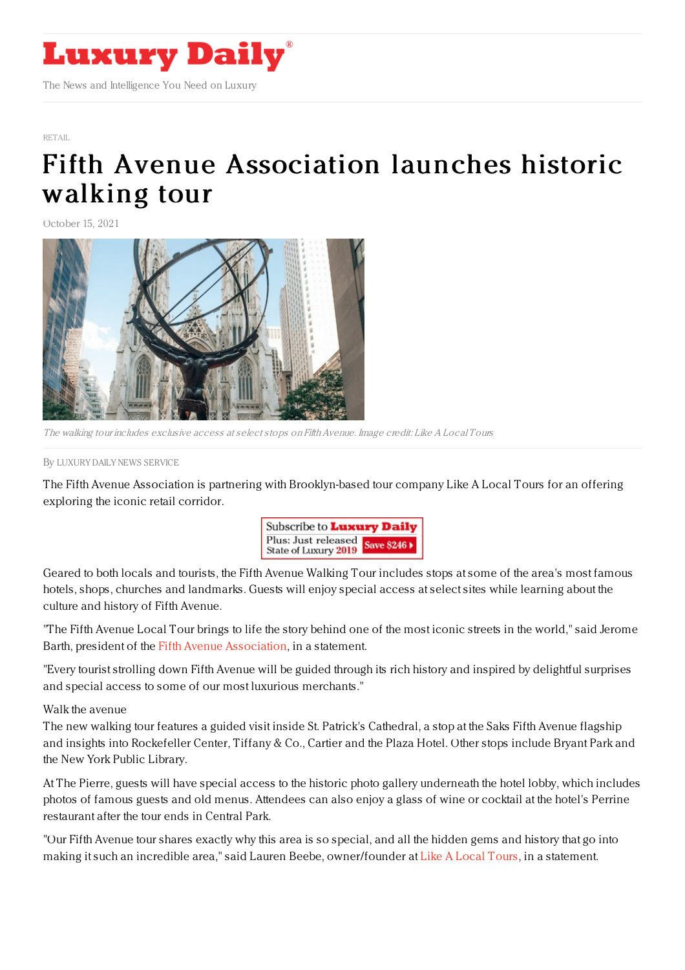

[RETAIL](https://www.luxurydaily.com/category/sectors/retail-industry-sectors/)

## Fifth Avenue [Association](https://www.luxurydaily.com/fifth-avenue-walking-tour/) launches historic walking tour

October 15, 2021



The walking tour includes exclusive access at select stops on Fifth Avenue. Image credit: Like A Local Tours

By LUXURY DAILY NEWS [SERVICE](file:///author/luxury-daily-news-service)

The Fifth Avenue Association is partnering with Brooklyn-based tour company Like A Local Tours for an offering exploring the iconic retail corridor.



Geared to both locals and tourists, the Fifth Avenue Walking Tour includes stops at some of the area's most famous hotels, shops, churches and landmarks. Guests will enjoy special access at select sites while learning about the culture and history of Fifth Avenue.

"The Fifth Avenue Local Tour brings to life the story behind one of the most iconic streets in the world," said Jerome Barth, president of the Fifth Avenue [Association](https://fifthavenue.nyc/), in a statement.

"Every tourist strolling down Fifth Avenue will be guided through its rich history and inspired by delightful surprises and special access to some of our most luxurious merchants."

Walk the avenue

The new walking tour features a guided visit inside St. Patrick's Cathedral, a stop at the Saks Fifth Avenue flagship and insights into Rockefeller Center, Tiffany & Co., Cartier and the Plaza Hotel. Other stops include Bryant Park and the New York Public Library.

At The Pierre, guests will have special access to the historic photo gallery underneath the hotel lobby, which includes photos of famous guests and old menus. Attendees can also enjoy a glass of wine or cocktail at the hotel's Perrine restaurant after the tour ends in Central Park.

"Our Fifth Avenue tour shares exactly why this area is so special, and all the hidden gems and history that go into making it such an incredible area," said Lauren Beebe, owner/founder at Like A [Local](https://www.likealocaltours.com/) Tours, in a statement.